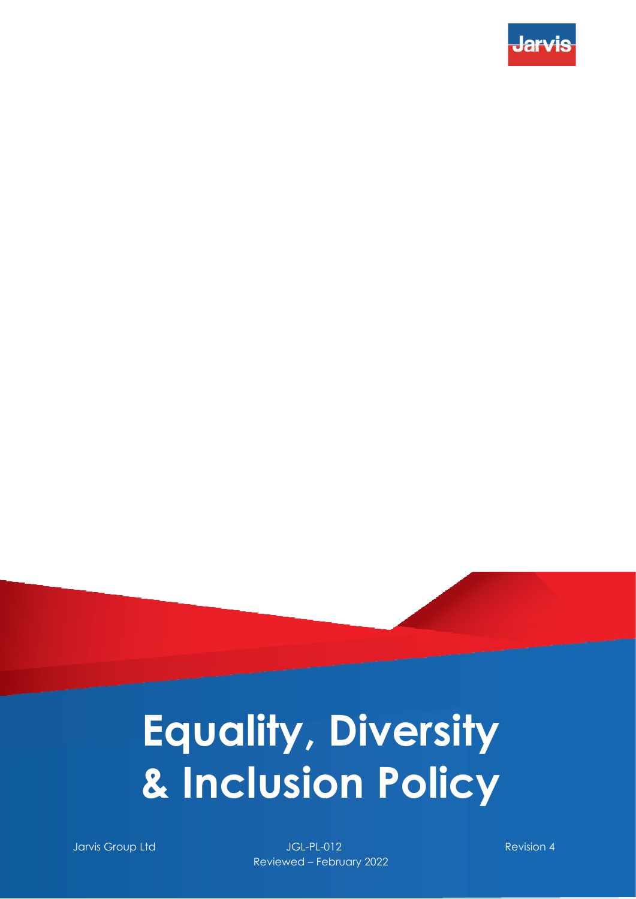

# **Equality, Diversity & Inclusion Policy**

Jarvis Group Ltd JGL-PL-012 Revision 4 Reviewed – February 2022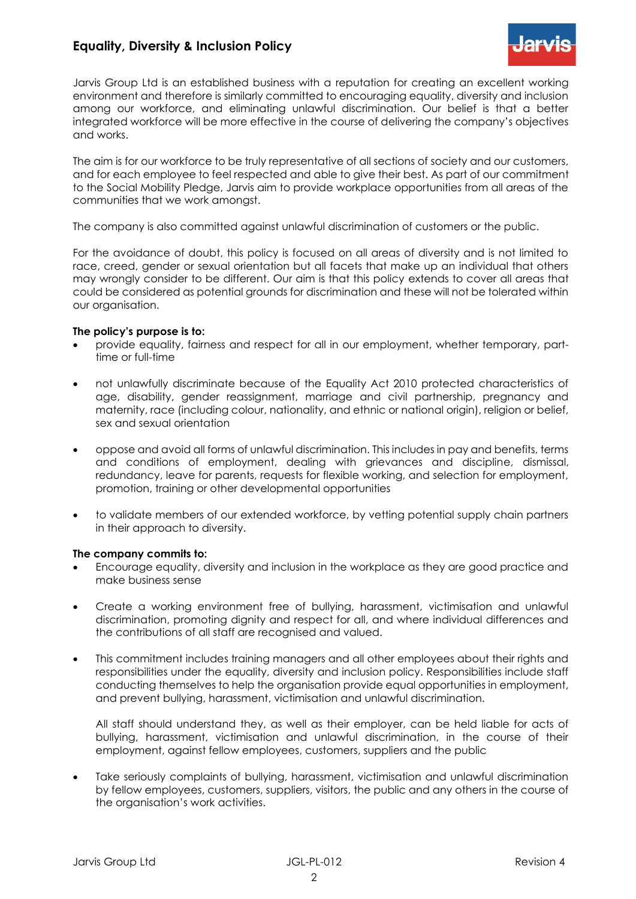## **Equality, Diversity & Inclusion Policy**



Jarvis Group Ltd is an established business with a reputation for creating an excellent working environment and therefore is similarly committed to encouraging equality, diversity and inclusion among our workforce, and eliminating unlawful discrimination. Our belief is that a better integrated workforce will be more effective in the course of delivering the company's objectives and works.

The aim is for our workforce to be truly representative of all sections of society and our customers, and for each employee to feel respected and able to give their best. As part of our commitment to the Social Mobility Pledge, Jarvis aim to provide workplace opportunities from all areas of the communities that we work amongst.

The company is also committed against unlawful discrimination of customers or the public.

For the avoidance of doubt, this policy is focused on all areas of diversity and is not limited to race, creed, gender or sexual orientation but all facets that make up an individual that others may wrongly consider to be different. Our aim is that this policy extends to cover all areas that could be considered as potential grounds for discrimination and these will not be tolerated within our organisation.

#### **The policy's purpose is to:**

- provide equality, fairness and respect for all in our employment, whether temporary, parttime or full-time
- not unlawfully discriminate because of the Equality Act 2010 protected characteristics of age, disability, gender reassignment, marriage and civil partnership, pregnancy and maternity, race (including colour, nationality, and ethnic or national origin), religion or belief, sex and sexual orientation
- oppose and avoid all forms of unlawful discrimination. This includes in pay and benefits, terms and conditions of employment, dealing with grievances and discipline, dismissal, redundancy, leave for parents, requests for flexible working, and selection for employment, promotion, training or other developmental opportunities
- to validate members of our extended workforce, by vetting potential supply chain partners in their approach to diversity.

### **The company commits to:**

- Encourage equality, diversity and inclusion in the workplace as they are good practice and make business sense
- Create a working environment free of bullying, harassment, victimisation and unlawful discrimination, promoting dignity and respect for all, and where individual differences and the contributions of all staff are recognised and valued.
- This commitment includes training managers and all other employees about their rights and responsibilities under the equality, diversity and inclusion policy. Responsibilities include staff conducting themselves to help the organisation provide equal opportunities in employment, and prevent bullying, harassment, victimisation and unlawful discrimination.

All staff should understand they, as well as their employer, can be held liable for acts of bullying, harassment, victimisation and unlawful discrimination, in the course of their employment, against fellow employees, customers, suppliers and the public

Take seriously complaints of bullying, harassment, victimisation and unlawful discrimination by fellow employees, customers, suppliers, visitors, the public and any others in the course of the organisation's work activities.